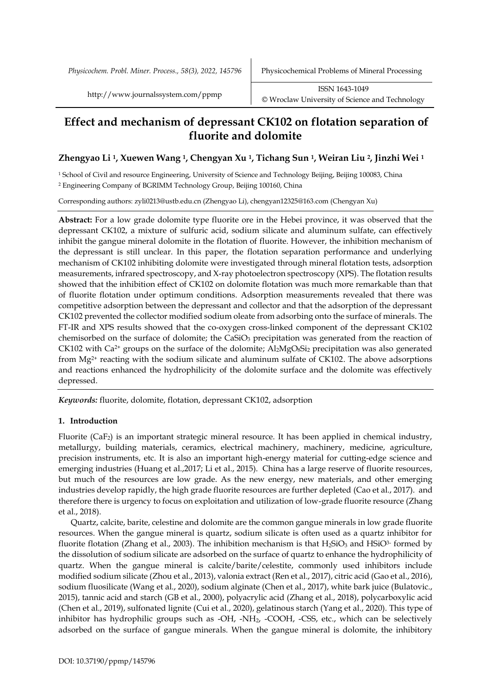*Physicochem. Probl. Miner. Process., 58(3), 2022, 145796* Physicochemical Problems of Mineral Processing

# **Effect and mechanism of depressant CK102 on flotation separation of fluorite and dolomite**

# **Zhengyao Li 1, Xuewen Wang 1, Chengyan Xu 1, Tichang Sun 1, Weiran Liu 2, Jinzhi Wei <sup>1</sup>**

<sup>1</sup> School of Civil and resource Engineering, University of Science and Technology Beijing, Beijing 100083, China <sup>2</sup> Engineering Company of BGRIMM Technology Group, Beijing 100160, China

Corresponding authors: [zyli0213@ustb.edu.cn](mailto:zyli0213@ustb.edu.cn) (Zhengyao Li), chengyan12325@163.com (Chengyan Xu)

**Abstract:** For a low grade dolomite type fluorite ore in the Hebei province, it was observed that the depressant CK102, a mixture of sulfuric acid, sodium silicate and aluminum sulfate, can effectively inhibit the gangue mineral dolomite in the flotation of fluorite. However, the inhibition mechanism of the depressant is still unclear. In this paper, the flotation separation performance and underlying mechanism of CK102 inhibiting dolomite were investigated through mineral flotation tests, adsorption measurements, infrared spectroscopy, and X-ray photoelectron spectroscopy (XPS). The flotation results showed that the inhibition effect of CK102 on dolomite flotation was much more remarkable than that of fluorite flotation under optimum conditions. Adsorption measurements revealed that there was competitive adsorption between the depressant and collector and that the adsorption of the depressant CK102 prevented the collector modified sodium oleate from adsorbing onto the surface of minerals. The FT-IR and XPS results showed that the co-oxygen cross-linked component of the depressant CK102 chemisorbed on the surface of dolomite; the CaSiO<sub>3</sub> precipitation was generated from the reaction of CK102 with Ca<sup>2+</sup> groups on the surface of the dolomite;  $Al_2MgO_8Si_2$  precipitation was also generated from  $Mg^{2+}$  reacting with the sodium silicate and aluminum sulfate of CK102. The above adsorptions and reactions enhanced the hydrophilicity of the dolomite surface and the dolomite was effectively depressed.

*Keywords:* fluorite, dolomite, flotation, depressant CK102, adsorption

# **1. Introduction**

Fluorite (CaF2) is an important strategic mineral resource. It has been applied in chemical industry, metallurgy, building materials, ceramics, electrical machinery, machinery, medicine, agriculture, precision instruments, etc. It is also an important high-energy material for cutting-edge science and emerging industries (Huang et al.,2017; Li et al., 2015). China has a large reserve of fluorite resources, but much of the resources are low grade. As the new energy, new materials, and other emerging industries develop rapidly, the high grade fluorite resources are further depleted (Cao et al., 2017). and therefore there is urgency to focus on exploitation and utilization of low-grade fluorite resource (Zhang et al., 2018).

Quartz, calcite, barite, celestine and dolomite are the common gangue minerals in low grade fluorite resources. When the gangue mineral is quartz, sodium silicate is often used as a quartz inhibitor for fluorite flotation (Zhang et al., 2003). The inhibition mechanism is that  $\text{H}_2\text{SiO}_3$  and  $\text{HSiO}^3$  formed by the dissolution of sodium silicate are adsorbed on the surface of quartz to enhance the hydrophilicity of quartz. When the gangue mineral is calcite/barite/celestite, commonly used inhibitors include modified sodium silicate (Zhou et al., 2013), valonia extract (Ren et al., 2017), citric acid (Gao et al., 2016), sodium fluosilicate (Wang et al., 2020), sodium alginate (Chen et al., 2017), white bark juice (Bulatovic., 2015), tannic acid and starch (GB et al., 2000), polyacrylic acid (Zhang et al., 2018), polycarboxylic acid (Chen et al., 2019), sulfonated lignite (Cui et al., 2020), gelatinous starch (Yang et al., 2020). This type of inhibitor has hydrophilic groups such as -OH, -NH<sub>2</sub>, -COOH, -CSS, etc., which can be selectively adsorbed on the surface of gangue minerals. When the gangue mineral is dolomite, the inhibitory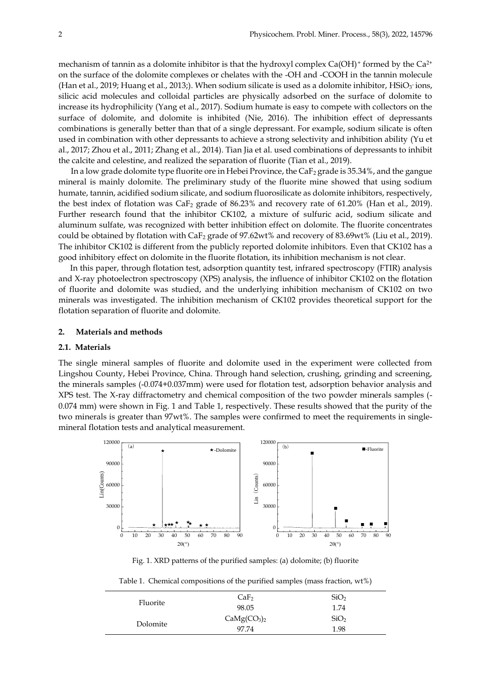mechanism of tannin as a dolomite inhibitor is that the hydroxyl complex  $Ca(OH)$ <sup>+</sup> formed by the  $Ca<sup>2+</sup>$ on the surface of the dolomite complexes or chelates with the -OH and -COOH in the tannin molecule (Han et al., 2019; Huang et al., 2013;). When sodium silicate is used as a dolomite inhibitor, HSiO $_3$  ions, silicic acid molecules and colloidal particles are physically adsorbed on the surface of dolomite to increase its hydrophilicity (Yang et al., 2017). Sodium humate is easy to compete with collectors on the surface of dolomite, and dolomite is inhibited (Nie, 2016). The inhibition effect of depressants combinations is generally better than that of a single depressant. For example, sodium silicate is often used in combination with other depressants to achieve a strong selectivity and inhibition ability (Yu et al., 2017; Zhou et al., 2011; Zhang et al., 2014). Tian Jia et al. used combinations of depressants to inhibit the calcite and celestine, and realized the separation of fluorite (Tian et al., 2019).

In a low grade dolomite type fluorite ore in Hebei Province, the CaF<sub>2</sub> grade is 35.34%, and the gangue mineral is mainly dolomite. The preliminary study of the fluorite mine showed that using sodium humate, tannin, acidified sodium silicate, and sodium fluorosilicate as dolomite inhibitors, respectively, the best index of flotation was  $\text{CaF}_2$  grade of 86.23% and recovery rate of 61.20% (Han et al., 2019). Further research found that the inhibitor CK102, a mixture of sulfuric acid, sodium silicate and aluminum sulfate, was recognized with better inhibition effect on dolomite. The fluorite concentrates could be obtained by flotation with CaF<sub>2</sub> grade of 97.62wt% and recovery of 83.69wt% (Liu et al., 2019). The inhibitor CK102 is different from the publicly reported dolomite inhibitors. Even that CK102 has a good inhibitory effect on dolomite in the fluorite flotation, its inhibition mechanism is not clear.

In this paper, through flotation test, adsorption quantity test, infrared spectroscopy (FTIR) analysis and X-ray photoelectron spectroscopy (XPS) analysis, the influence of inhibitor CK102 on the flotation of fluorite and dolomite was studied, and the underlying inhibition mechanism of CK102 on two minerals was investigated. The inhibition mechanism of CK102 provides theoretical support for the flotation separation of fluorite and dolomite.

# **2. Materials and methods**

# **2.1. Materials**

The single mineral samples of fluorite and dolomite used in the experiment were collected from Lingshou County, Hebei Province, China. Through hand selection, crushing, grinding and screening, the minerals samples (-0.074+0.037mm) were used for flotation test, adsorption behavior analysis and XPS test. The X-ray diffractometry and chemical composition of the two powder minerals samples (- 0.074 mm) were shown in Fig. 1 and Table 1, respectively. These results showed that the purity of the two minerals is greater than 97wt%. The samples were confirmed to meet the requirements in singlemineral flotation tests and analytical measurement.



Fig. 1. XRD patterns of the purified samples: (a) dolomite; (b) fluorite

|  | Table 1. Chemical compositions of the purified samples (mass fraction, $wt\%$ ) |  |  |  |
|--|---------------------------------------------------------------------------------|--|--|--|
|  |                                                                                 |  |  |  |

| SiO <sub>2</sub><br>CaF <sub>2</sub><br>Fluorite                    |  |
|---------------------------------------------------------------------|--|
| 98.05<br>1.74                                                       |  |
| CaMg(CO <sub>3</sub> ) <sub>2</sub><br>SiO <sub>2</sub><br>Dolomite |  |
| 97.74<br>1.98                                                       |  |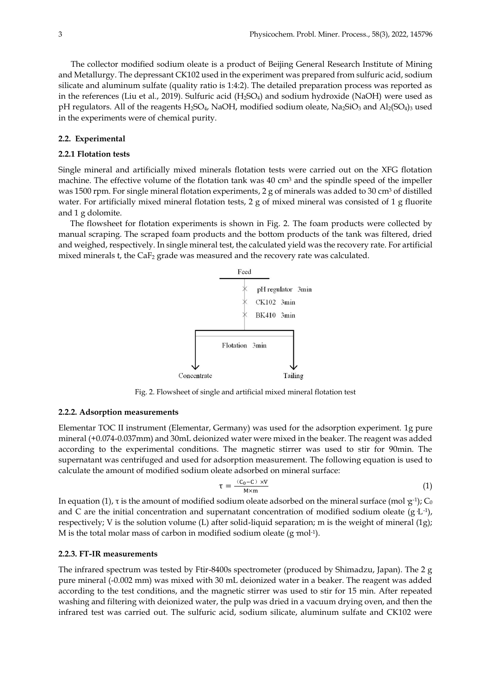The collector modified sodium oleate is a product of Beijing General Research Institute of Mining and Metallurgy. The depressant CK102 used in the experiment was prepared from sulfuric acid, sodium silicate and aluminum sulfate (quality ratio is 1:4:2). The detailed preparation process was reported as in the references (Liu et al., 2019). Sulfuric acid (H2SO4) and sodium hydroxide (NaOH) were used as pH regulators. All of the reagents H<sub>2</sub>SO<sub>4</sub>, NaOH, modified sodium oleate, Na<sub>2</sub>SiO<sub>3</sub> and Al<sub>2</sub>(SO<sub>4</sub>)<sub>3</sub> used in the experiments were of chemical purity.

#### **2.2. Experimental**

#### **2.2.1 Flotation tests**

Single mineral and artificially mixed minerals flotation tests were carried out on the XFG flotation machine. The effective volume of the flotation tank was 40 cm<sup>3</sup> and the spindle speed of the impeller was 1500 rpm. For single mineral flotation experiments, 2 g of minerals was added to 30 cm<sup>3</sup> of distilled water. For artificially mixed mineral flotation tests, 2 g of mixed mineral was consisted of 1 g fluorite and 1 g dolomite.

The flowsheet for flotation experiments is shown in Fig. 2. The foam products were collected by manual scraping. The scraped foam products and the bottom products of the tank was filtered, dried and weighed, respectively. In single mineral test, the calculated yield was the recovery rate. For artificial mixed minerals t, the  $CaF<sub>2</sub>$  grade was measured and the recovery rate was calculated.



Fig. 2. Flowsheet of single and artificial mixed mineral flotation test

#### **2.2.2. Adsorption measurements**

Elementar TOC II instrument (Elementar, Germany) was used for the adsorption experiment. 1g pure mineral (+0.074-0.037mm) and 30mL deionized water were mixed in the beaker. The reagent was added according to the experimental conditions. The magnetic stirrer was used to stir for 90min. The supernatant was centrifuged and used for adsorption measurement. The following equation is used to calculate the amount of modified sodium oleate adsorbed on mineral surface:

$$
\tau = \frac{(c_0 - c) \times v}{M \times m} \tag{1}
$$

In equation (1), τ is the amount of modified sodium oleate adsorbed on the mineral surface (mol<sup>.</sup>g<sup>-1</sup>); C<sub>0</sub> and C are the initial concentration and supernatant concentration of modified sodium oleate  $(g L<sup>-1</sup>)$ , respectively; V is the solution volume (L) after solid-liquid separation; m is the weight of mineral (1g); M is the total molar mass of carbon in modified sodium oleate (g mol<sup>-1</sup>).

# **2.2.3. FT-IR measurements**

The infrared spectrum was tested by Ftir-8400s spectrometer (produced by Shimadzu, Japan). The 2 g pure mineral (-0.002 mm) was mixed with 30 mL deionized water in a beaker. The reagent was added according to the test conditions, and the magnetic stirrer was used to stir for 15 min. After repeated washing and filtering with deionized water, the pulp was dried in a vacuum drying oven, and then the infrared test was carried out. The sulfuric acid, sodium silicate, aluminum sulfate and CK102 were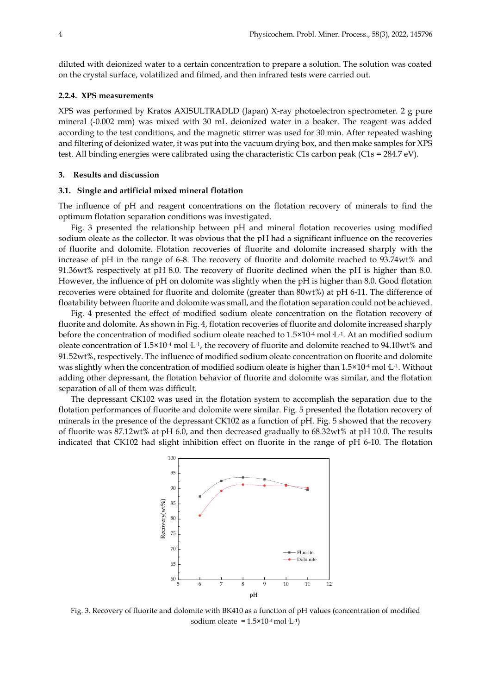diluted with deionized water to a certain concentration to prepare a solution. The solution was coated on the crystal surface, volatilized and filmed, and then infrared tests were carried out.

# **2.2.4. XPS measurements**

XPS was performed by Kratos AXISULTRADLD (Japan) X-ray photoelectron spectrometer. 2 g pure mineral (-0.002 mm) was mixed with 30 mL deionized water in a beaker. The reagent was added according to the test conditions, and the magnetic stirrer was used for 30 min. After repeated washing and filtering of deionized water, it was put into the vacuum drying box, and then make samples for XPS test. All binding energies were calibrated using the characteristic C1s carbon peak (C1s = 284.7 eV).

#### **3. Results and discussion**

#### **3.1. Single and artificial mixed mineral flotation**

The influence of pH and reagent concentrations on the flotation recovery of minerals to find the optimum flotation separation conditions was investigated.

Fig. 3 presented the relationship between pH and mineral flotation recoveries using modified sodium oleate as the collector. It was obvious that the pH had a significant influence on the recoveries of fluorite and dolomite. Flotation recoveries of fluorite and dolomite increased sharply with the increase of pH in the range of 6-8. The recovery of fluorite and dolomite reached to 93.74wt% and 91.36wt% respectively at pH 8.0. The recovery of fluorite declined when the pH is higher than 8.0. However, the influence of pH on dolomite was slightly when the pH is higher than 8.0. Good flotation recoveries were obtained for fluorite and dolomite (greater than 80wt%) at pH 6-11. The difference of floatability between fluorite and dolomite was small, and the flotation separation could not be achieved.

Fig. 4 presented the effect of modified sodium oleate concentration on the flotation recovery of fluorite and dolomite. As shown in Fig. 4, flotation recoveries of fluorite and dolomite increased sharply before the concentration of modified sodium oleate reached to  $1.5 \times 10^{-4}$  mol L<sup>-1</sup>. At an modified sodium oleate concentration of  $1.5 \times 10^{-4}$  mol L<sup>-1</sup>, the recovery of fluorite and dolomite reached to 94.10wt% and 91.52wt%, respectively. The influence of modified sodium oleate concentration on fluorite and dolomite was slightly when the concentration of modified sodium oleate is higher than  $1.5 \times 10^{4}$  mol  $L^{1}$ . Without adding other depressant, the flotation behavior of fluorite and dolomite was similar, and the flotation separation of all of them was difficult.

The depressant CK102 was used in the flotation system to accomplish the separation due to the flotation performances of fluorite and dolomite were similar. Fig. 5 presented the flotation recovery of minerals in the presence of the depressant CK102 as a function of pH. Fig. 5 showed that the recovery of fluorite was 87.12wt% at pH 6.0, and then decreased gradually to 68.32wt% at pH 10.0. The results indicated that CK102 had slight inhibition effect on fluorite in the range of pH 6-10. The flotation



Fig. 3. Recovery of fluorite and dolomite with BK410 as a function of pH values (concentration of modified sodium oleate =  $1.5 \times 10^{-4}$  mol  $L^{-1}$ )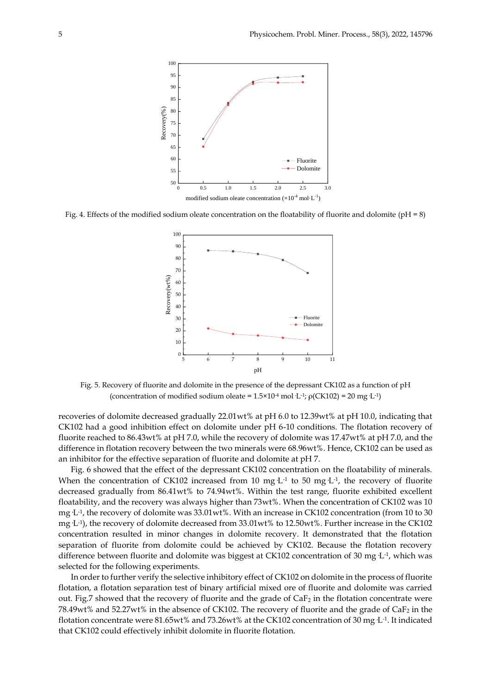

Fig. 4. Effects of the modified sodium oleate concentration on the floatability of fluorite and dolomite (pH = 8)



Fig. 5. Recovery of fluorite and dolomite in the presence of the depressant CK102 as a function of pH (concentration of modified sodium oleate =  $1.5 \times 10^{-4}$  mol L<sup>-1</sup>;  $\rho$ (CK102) = 20 mg·L<sup>-1</sup>)

recoveries of dolomite decreased gradually 22.01wt% at pH 6.0 to 12.39wt% at pH 10.0, indicating that CK102 had a good inhibition effect on dolomite under pH 6-10 conditions. The flotation recovery of fluorite reached to 86.43wt% at pH 7.0, while the recovery of dolomite was 17.47wt% at pH 7.0, and the difference in flotation recovery between the two minerals were 68.96wt%. Hence, CK102 can be used as an inhibitor for the effective separation of fluorite and dolomite at pH 7.

Fig. 6 showed that the effect of the depressant CK102 concentration on the floatability of minerals. When the concentration of CK102 increased from 10 mg  $L<sup>-1</sup>$  to 50 mg  $L<sup>-1</sup>$ , the recovery of fluorite decreased gradually from 86.41wt% to 74.94wt%. Within the test range, fluorite exhibited excellent floatability, and the recovery was always higher than 73wt%. When the concentration of CK102 was 10 mg  $L<sup>-1</sup>$ , the recovery of dolomite was 33.01wt%. With an increase in CK102 concentration (from 10 to 30 mg L-1), the recovery of dolomite decreased from 33.01 $\mathrm{wt}$ % to 12.50 $\mathrm{wt}$ %. Further increase in the CK102 concentration resulted in minor changes in dolomite recovery. It demonstrated that the flotation separation of fluorite from dolomite could be achieved by CK102. Because the flotation recovery difference between fluorite and dolomite was biggest at CK102 concentration of 30 mg L<sup>-1</sup>, which was selected for the following experiments.

In order to further verify the selective inhibitory effect of CK102 on dolomite in the process of fluorite flotation, a flotation separation test of binary artificial mixed ore of fluorite and dolomite was carried out. Fig.7 showed that the recovery of fluorite and the grade of  $CaF<sub>2</sub>$  in the flotation concentrate were 78.49wt% and 52.27wt% in the absence of CK102. The recovery of fluorite and the grade of  $CaF<sub>2</sub>$  in the flotation concentrate were  $81.65$ wt% and  $73.26$ wt% at the CK102 concentration of 30 mg $\rm~L$ <sup>-1</sup>. It indicated that CK102 could effectively inhibit dolomite in fluorite flotation.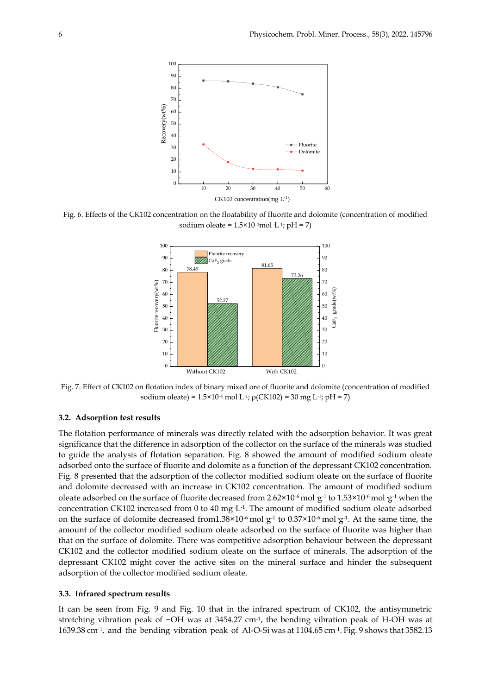

Fig. 6. Effects of the CK102 concentration on the floatability of fluorite and dolomite (concentration of modified sodium oleate =  $1.5 \times 10^{-4}$ mol·L<sup>-1</sup>; pH = 7)



Fig. 7. Effect of CK102 on flotation index of binary mixed ore of fluorite and dolomite (concentration of modified sodium oleate) =  $1.5 \times 10^{-4}$  mol L<sup>-1</sup>;  $\rho$ (CK102) = 30 mg L<sup>-1</sup>; pH = 7)

# **3.2. Adsorption test results**

The flotation performance of minerals was directly related with the adsorption behavior. It was great significance that the difference in adsorption of the collector on the surface of the minerals was studied to guide the analysis of flotation separation. Fig. 8 showed the amount of modified sodium oleate adsorbed onto the surface of fluorite and dolomite as a function of the depressant CK102 concentration. Fig. 8 presented that the adsorption of the collector modified sodium oleate on the surface of fluorite and dolomite decreased with an increase in CK102 concentration. The amount of modified sodium oleate adsorbed on the surface of fluorite decreased from 2.62×10<sup>-6</sup> mol  $g$ <sup>-1</sup> to 1.53×10<sup>-6</sup> mol  $g$ <sup>-1</sup> when the concentration CK102 increased from 0 to 40 mg  $L<sup>-1</sup>$ . The amount of modified sodium oleate adsorbed on the surface of dolomite decreased from  $1.38 \times 10^{-6}$  mol  $g^{-1}$  to  $0.37 \times 10^{-6}$  mol  $g^{-1}$ . At the same time, the amount of the collector modified sodium oleate adsorbed on the surface of fluorite was higher than that on the surface of dolomite. There was competitive adsorption behaviour between the depressant CK102 and the collector modified sodium oleate on the surface of minerals. The adsorption of the depressant CK102 might cover the active sites on the mineral surface and hinder the subsequent adsorption of the collector modified sodium oleate.

# **3.3. Infrared spectrum results**

It can be seen from Fig. 9 and Fig. 10 that in the infrared spectrum of CK102, the antisymmetric stretching vibration peak of −OH was at 3454.27 cm<sup>-1</sup>, the bending vibration peak of H-OH was at 1639.38 cm-1 , and the bending vibration peak of Al-O-Si was at 1104.65 cm-1 . Fig. 9 shows that 3582.13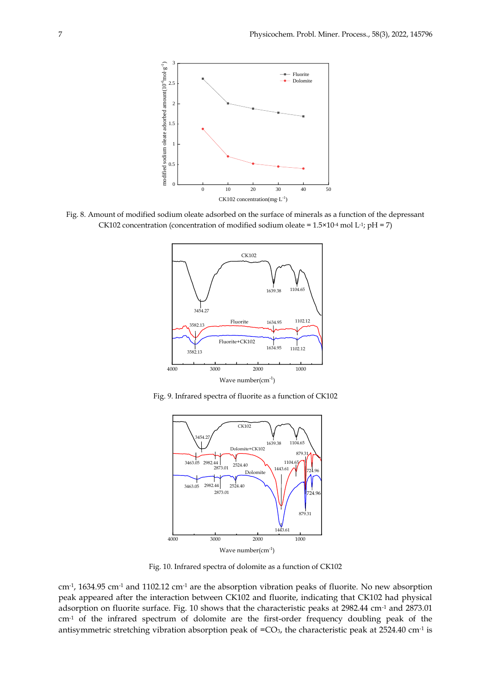

Fig. 8. Amount of modified sodium oleate adsorbed on the surface of minerals as a function of the depressant CK102 concentration (concentration of modified sodium oleate =  $1.5 \times 10^{4}$  mol L-1; pH = 7)



Fig. 9. Infrared spectra of fluorite as a function of CK102



Fig. 10. Infrared spectra of dolomite as a function of CK102

cm-1 , 1634.95 cm-1 and 1102.12 cm-1 are the absorption vibration peaks of fluorite. No new absorption peak appeared after the interaction between CK102 and fluorite, indicating that CK102 had physical adsorption on fluorite surface. Fig. 10 shows that the characteristic peaks at 2982.44 cm-1 and 2873.01 cm-1 of the infrared spectrum of dolomite are the first-order frequency doubling peak of the antisymmetric stretching vibration absorption peak of = $CO_3$ , the characteristic peak at 2524.40 cm<sup>-1</sup> is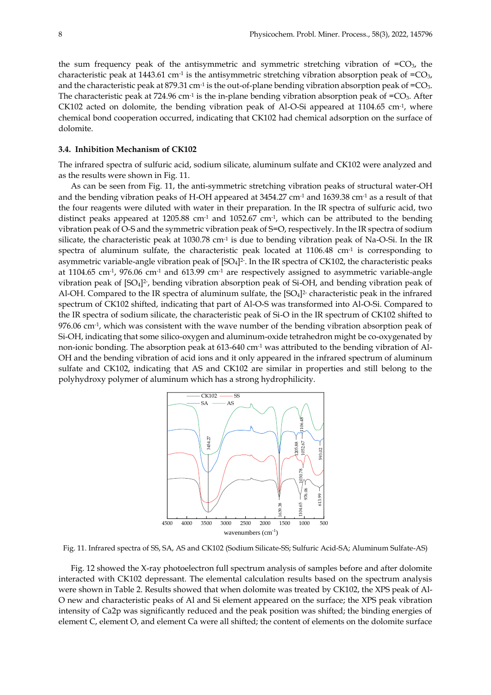the sum frequency peak of the antisymmetric and symmetric stretching vibration of  $=CO<sub>3</sub>$ , the characteristic peak at 1443.61 cm<sup>-1</sup> is the antisymmetric stretching vibration absorption peak of  $=$ CO<sub>3</sub>, and the characteristic peak at 879.31 cm<sup>-1</sup> is the out-of-plane bending vibration absorption peak of =CO<sub>3</sub>. The characteristic peak at 724.96 cm<sup>-1</sup> is the in-plane bending vibration absorption peak of =CO<sub>3</sub>. After CK102 acted on dolomite, the bending vibration peak of Al-O-Si appeared at 1104.65 cm<sup>-1</sup>, where chemical bond cooperation occurred, indicating that CK102 had chemical adsorption on the surface of dolomite.

# **3.4. Inhibition Mechanism of CK102**

The infrared spectra of sulfuric acid, sodium silicate, aluminum sulfate and CK102 were analyzed and as the results were shown in Fig. 11.

As can be seen from Fig. 11, the anti-symmetric stretching vibration peaks of structural water-OH and the bending vibration peaks of H-OH appeared at 3454.27 cm-1 and 1639.38 cm-1 as a result of that the four reagents were diluted with water in their preparation. In the IR spectra of sulfuric acid, two distinct peaks appeared at 1205.88 cm<sup>-1</sup> and 1052.67 cm<sup>-1</sup>, which can be attributed to the bending vibration peak of O-S and the symmetric vibration peak of S=O, respectively. In the IR spectra of sodium silicate, the characteristic peak at 1030.78 cm<sup>-1</sup> is due to bending vibration peak of Na-O-Si. In the IR spectra of aluminum sulfate, the characteristic peak located at  $1106.48 \text{ cm}$ <sup>1</sup> is corresponding to asymmetric variable-angle vibration peak of [SO4] 2- . In the IR spectra of CK102, the characteristic peaks at 1104.65 cm-1 , 976.06 cm-1 and 613.99 cm-1 are respectively assigned to asymmetric variable-angle vibration peak of  $[SO_4]^2$ , bending vibration absorption peak of Si-OH, and bending vibration peak of Al-OH. Compared to the IR spectra of aluminum sulfate, the  $[SO_4]^2$  characteristic peak in the infrared spectrum of CK102 shifted, indicating that part of Al-O-S was transformed into Al-O-Si. Compared to the IR spectra of sodium silicate, the characteristic peak of Si-O in the IR spectrum of CK102 shifted to  $976.06$  cm<sup>-1</sup>, which was consistent with the wave number of the bending vibration absorption peak of Si-OH, indicating that some [silico-oxygen](http://dict.cnki.net/dict_result.aspx?scw=%e7%a1%85%e6%b0%a7%e5%9b%9b%e9%9d%a2%e4%bd%93&tjType=sentence&style=&t=silico-oxygen+tetrahedron) and aluminum-oxide tetrahedron might be co-oxygenated by non-ionic bonding. The absorption peak at 613-640 cm-1 was attributed to the bending vibration of Al-OH and the bending vibration of acid ions and it only appeared in the infrared spectrum of aluminum sulfate and CK102, indicating that AS and CK102 are similar in properties and still belong to the polyhydroxy polymer of aluminum which has a strong hydrophilicity.



Fig. 11. Infrared spectra of SS, SA, AS and CK102 (Sodium Silicate-SS; Sulfuric Acid-SA; Aluminum Sulfate-AS)

Fig. 12 showed the X-ray photoelectron full spectrum analysis of samples before and after dolomite interacted with CK102 depressant. The elemental calculation results based on the spectrum analysis were shown in Table 2. Results showed that when dolomite was treated by CK102, the XPS peak of Al-O new and characteristic peaks of Al and Si element appeared on the surface; the XPS peak vibration intensity of Ca2p was significantly reduced and the peak position was shifted; the binding energies of element C, element O, and element Ca were all shifted; the content of elements on the dolomite surface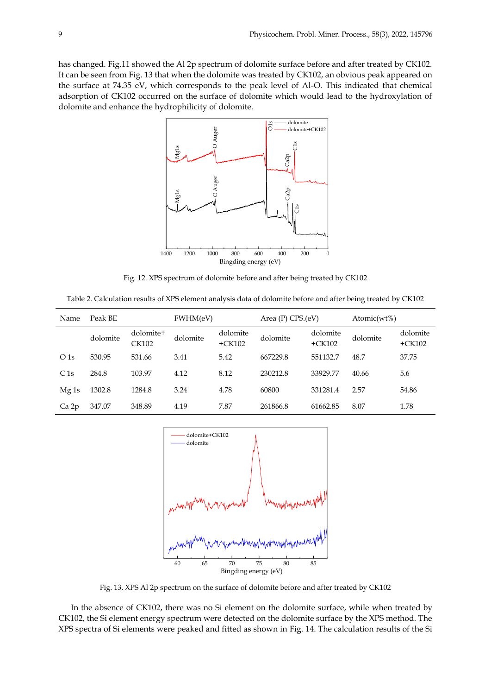has changed. Fig.11 showed the Al 2p spectrum of dolomite surface before and after treated by CK102. It can be seen from Fig. 13 that when the dolomite was treated by CK102, an obvious peak appeared on the surface at 74.35 eV, which corresponds to the peak level of Al-O. This indicated that chemical adsorption of CK102 occurred on the surface of dolomite which would lead to the hydroxylation of dolomite and enhance the hydrophilicity of dolomite.



Fig. 12. XPS spectrum of dolomite before and after being treated by CK102

Table 2. Calculation results of XPS element analysis data of dolomite before and after being treated by CK102

| Name             | Peak BE  |                           | FWHM(eV) |                      | Area (P) CPS.(eV) |                      | Atomic( $wt\%$ ) |                      |
|------------------|----------|---------------------------|----------|----------------------|-------------------|----------------------|------------------|----------------------|
|                  | dolomite | dolomite+<br><b>CK102</b> | dolomite | dolomite<br>$+CK102$ | dolomite          | dolomite<br>$+CK102$ | dolomite         | dolomite<br>$+CK102$ |
| O <sub>1s</sub>  | 530.95   | 531.66                    | 3.41     | 5.42                 | 667229.8          | 551132.7             | 48.7             | 37.75                |
| C1s              | 284.8    | 103.97                    | 4.12     | 8.12                 | 230212.8          | 33929.77             | 40.66            | 5.6                  |
| Mg <sub>1s</sub> | 1302.8   | 1284.8                    | 3.24     | 4.78                 | 60800             | 331281.4             | 2.57             | 54.86                |
| Ca 2p            | 347.07   | 348.89                    | 4.19     | 7.87                 | 261866.8          | 61662.85             | 8.07             | 1.78                 |



Fig. 13. XPS Al 2p spectrum on the surface of dolomite before and after treated by CK102

In the absence of CK102, there was no Si element on the dolomite surface, while when treated by CK102, the Si element energy spectrum were detected on the dolomite surface by the XPS method. The XPS spectra of Si elements were peaked and fitted as shown in Fig. 14. The calculation results of the Si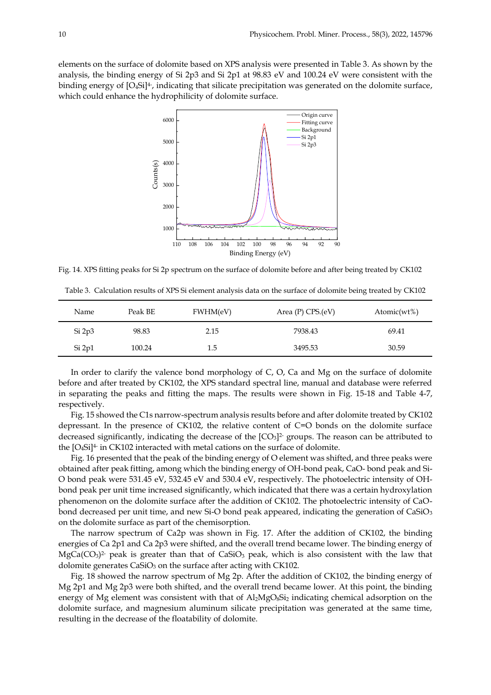elements on the surface of dolomite based on XPS analysis were presented in Table 3. As shown by the analysis, the binding energy of Si 2p3 and Si 2p1 at 98.83 eV and 100.24 eV were consistent with the binding energy of  $[O_4Si]^4$ , indicating that silicate precipitation was generated on the dolomite surface, which could enhance the hydrophilicity of dolomite surface.



Fig. 14. XPS fitting peaks for Si 2p spectrum on the surface of dolomite before and after being treated by CK102

Table 3. Calculation results of XPS Si element analysis data on the surface of dolomite being treated by CK102

| Name   | Peak BE | FWHM(eV) | Area $(P)$ CPS. $(eV)$ | Atomic( $wt\%$ ) |
|--------|---------|----------|------------------------|------------------|
| Si 2p3 | 98.83   | 2.15     | 7938.43                | 69.41            |
| Si 2p1 | 100.24  | 1.5      | 3495.53                | 30.59            |

In order to clarify the valence bond morphology of C, O, Ca and Mg on the surface of dolomite before and after treated by CK102, the XPS standard spectral line, manual and database were referred in separating the peaks and fitting the maps. The results were shown in Fig. 15-18 and Table 4-7, respectively.

Fig. 15 showed the C1s narrow-spectrum analysis results before and after dolomite treated by CK102 depressant. In the presence of CK102, the relative content of C=O bonds on the dolomite surface decreased significantly, indicating the decrease of the  $[CO<sub>3</sub>]$ <sup>2</sup> groups. The reason can be attributed to the [O<sub>4</sub>Si]<sup>4-</sup> in CK102 interacted with metal cations on the surface of dolomite.

Fig. 16 presented that the peak of the binding energy of O element was shifted, and three peaks were obtained after peak fitting, among which the binding energy of OH-bond peak, CaO- bond peak and Si-O bond peak were 531.45 eV, 532.45 eV and 530.4 eV, respectively. The photoelectric intensity of OHbond peak per unit time increased significantly, which indicated that there was a certain hydroxylation phenomenon on the dolomite surface after the addition of CK102. The photoelectric intensity of CaObond decreased per unit time, and new Si-O bond peak appeared, indicating the generation of CaSiO<sub>3</sub> on the dolomite surface as part of the chemisorption.

The narrow spectrum of Ca2p was shown in Fig. 17. After the addition of CK102, the binding energies of Ca 2p1 and Ca 2p3 were shifted, and the overall trend became lower. The binding energy of  $MgCa(CO_3)^2$  peak is greater than that of CaSiO<sub>3</sub> peak, which is also consistent with the law that dolomite generates  $CaSiO<sub>3</sub>$  on the surface after acting with CK102.

Fig. 18 showed the narrow spectrum of Mg 2p. After the addition of CK102, the binding energy of Mg 2p1 and Mg 2p3 were both shifted, and the overall trend became lower. At this point, the binding energy of Mg element was consistent with that of Al<sub>2</sub>MgO<sub>8</sub>Si<sub>2</sub> indicating chemical adsorption on the dolomite surface, and magnesium aluminum silicate precipitation was generated at the same time, resulting in the decrease of the floatability of dolomite.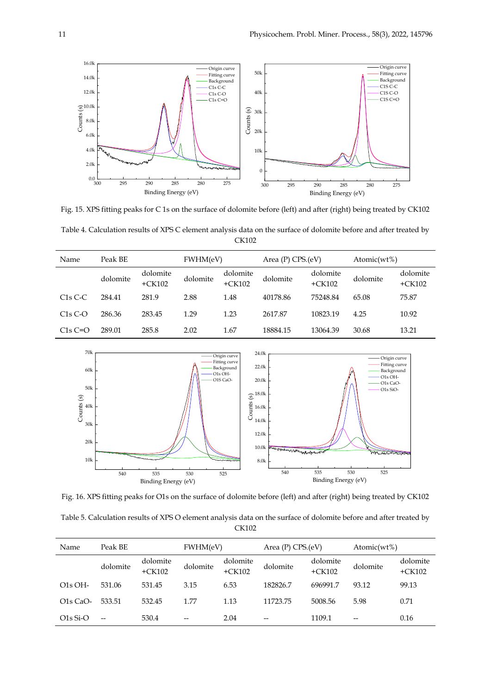

Fig. 15. XPS fitting peaks for C 1s on the surface of dolomite before (left) and after (right) being treated by CK102

Table 4. Calculation results of XPS C element analysis data on the surface of dolomite before and after treated by CK102

| Name      | Peak BE  |                      | FWHM(eV) |                      | Area $(P)$ CPS. $(eV)$ |                      | Atomic( $wt\%$ ) |                      |
|-----------|----------|----------------------|----------|----------------------|------------------------|----------------------|------------------|----------------------|
|           | dolomite | dolomite<br>$+CK102$ | dolomite | dolomite<br>$+CK102$ | dolomite               | dolomite<br>$+CK102$ | dolomite         | dolomite<br>$+CK102$ |
| $C1s C-C$ | 284.41   | 281.9                | 2.88     | 1.48                 | 40178.86               | 75248.84             | 65.08            | 75.87                |
| $C1sC-o$  | 286.36   | 283.45               | 1.29     | 1.23                 | 2617.87                | 10823.19             | 4.25             | 10.92                |
| $C1sC=O$  | 289.01   | 285.8                | 2.02     | 1.67                 | 18884.15               | 13064.39             | 30.68            | 13.21                |



Fig. 16. XPS fitting peaks for O1s on the surface of dolomite before (left) and after (right) being treated by CK102

Table 5. Calculation results of XPS O element analysis data on the surface of dolomite before and after treated by CK102

| Name       | Peak BE  |                      | FWHM(eV) |                      | Area (P) CPS.(eV) |                      | Atomic( $wt\%$ ) |                      |
|------------|----------|----------------------|----------|----------------------|-------------------|----------------------|------------------|----------------------|
|            | dolomite | dolomite<br>$+CK102$ | dolomite | dolomite<br>$+CK102$ | dolomite          | dolomite<br>$+CK102$ | dolomite         | dolomite<br>$+CK102$ |
| $O1s$ OH-  | 531.06   | 531.45               | 3.15     | 6.53                 | 182826.7          | 696991.7             | 93.12            | 99.13                |
| $O1s$ CaO- | 533.51   | 532.45               | 1.77     | 1.13                 | 11723.75          | 5008.56              | 5.98             | 0.71                 |
| $O1s$ Si-O | --       | 530.4                | $- -$    | 2.04                 | $- -$             | 1109.1               | $- -$            | 0.16                 |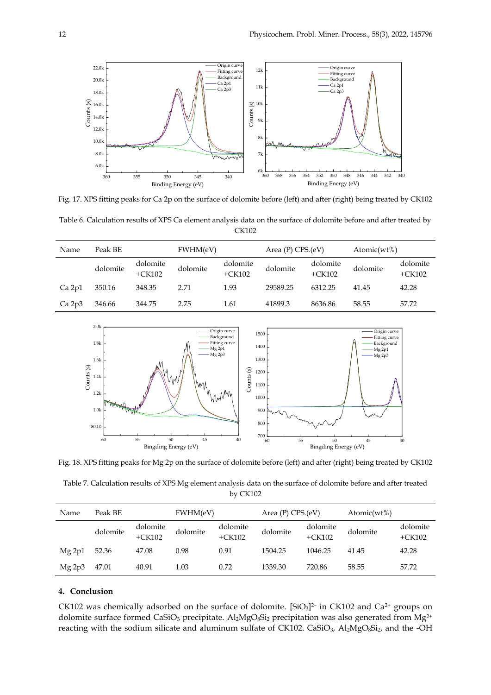

Fig. 17. XPS fitting peaks for Ca 2p on the surface of dolomite before (left) and after (right) being treated by CK102

Table 6. Calculation results of XPS Ca element analysis data on the surface of dolomite before and after treated by CK102

| Name   | Peak BE  |                      | FWHM(eV) |                      | Area $(P)$ CPS. $(eV)$ |                      | Atomic( $wt\%$ ) |                      |
|--------|----------|----------------------|----------|----------------------|------------------------|----------------------|------------------|----------------------|
|        | dolomite | dolomite<br>$+CK102$ | dolomite | dolomite<br>$+CK102$ | dolomite               | dolomite<br>$+CK102$ | dolomite         | dolomite<br>$+CK102$ |
| Ca 2p1 | 350.16   | 348.35               | 2.71     | 1.93                 | 29589.25               | 6312.25              | 41.45            | 42.28                |
| Ca 2p3 | 346.66   | 344.75               | 2.75     | 1.61                 | 41899.3                | 8636.86              | 58.55            | 57.72                |



Fig. 18. XPS fitting peaks for Mg 2p on the surface of dolomite before (left) and after (right) being treated by CK102

Table 7. Calculation results of XPS Mg element analysis data on the surface of dolomite before and after treated by CK102

| Name   | Peak BE  |                      | FWHM(eV) |                      | Area $(P)$ CPS. $(eV)$ |                      | Atomic( $wt\%$ ) |                      |
|--------|----------|----------------------|----------|----------------------|------------------------|----------------------|------------------|----------------------|
|        | dolomite | dolomite<br>$+CK102$ | dolomite | dolomite<br>$+CK102$ | dolomite               | dolomite<br>$+CK102$ | dolomite         | dolomite<br>$+CK102$ |
| Mg 2p1 | 52.36    | 47.08                | 0.98     | 0.91                 | 1504.25                | 1046.25              | 41.45            | 42.28                |
| Mg 2p3 | 47.01    | 40.91                | 1.03     | 0.72                 | 1339.30                | 720.86               | 58.55            | 57.72                |

# **4. Conclusion**

CK102 was chemically adsorbed on the surface of dolomite. [SiO<sub>3</sub>]<sup>2-</sup> in CK102 and Ca<sup>2+</sup> groups on dolomite surface formed CaSiO<sub>3</sub> precipitate. Al<sub>2</sub>MgO<sub>8</sub>Si<sub>2</sub> precipitation was also generated from Mg<sup>2+</sup> reacting with the sodium silicate and aluminum sulfate of CK102. CaSiO<sub>3</sub>, Al<sub>2</sub>MgO<sub>8</sub>Si<sub>2</sub>, and the -OH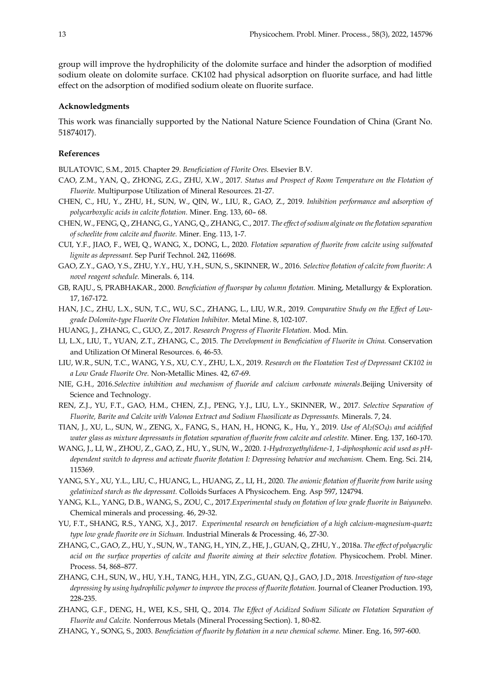group will improve the hydrophilicity of the dolomite surface and hinder the adsorption of modified sodium oleate on dolomite surface. CK102 had physical adsorption on fluorite surface, and had little effect on the adsorption of modified sodium oleate on fluorite surface.

# **Acknowledgments**

This work was financially supported by the National Nature Science Foundation of China (Grant No. 51874017).

## **References**

BULATOVIC, S.M., 2015. Chapter 29. *Beneficiation of Florite Ores.* Elsevier B.V.

- CAO, Z.M., YAN, Q., ZHONG, Z.G., ZHU, X.W., 2017. *Status and Prospect of Room Temperature on the Flotation of Fluorite.* Multipurpose Utilization of Mineral Resources. 21-27.
- CHEN, C., HU, Y., ZHU, H., SUN, W., QIN, W., LIU, R., GAO, Z., 2019. *Inhibition performance and adsorption of polycarboxylic acids in calcite flotation.* Miner. Eng. 133, 60– 68.
- CHEN, W., FENG, Q., ZHANG, G., YANG, Q., ZHANG, C., 2017. *The effect of sodium alginate on the flotation separation of scheelite from calcite and fluorite.* Miner. Eng. 113, 1-7.
- CUI, Y.F., JIAO, F., WEI, Q., WANG, X., DONG, L., 2020. *Flotation separation of fluorite from calcite using sulfonated lignite as depressant.* Sep Purif Technol. 242, 116698.
- GAO, Z.Y., GAO, Y.S., ZHU, Y.Y., HU, Y.H., SUN, S., SKINNER, W., 2016. *Selective flotation of calcite from fluorite: A novel reagent schedule.* Minerals. 6, 114.
- GB, RAJU., S, PRABHAKAR., 2000. *Beneficiation of fluorspar by column flotation.* Mining, Metallurgy & Exploration. 17, 167-172.
- HAN, J.C., ZHU, L.X., SUN, T.C., WU, S.C., ZHANG, L., LIU, W.R., 2019. *Comparative Study on the Effect of Lowgrade Dolomite-type Fluorite Ore Flotation Inhibitor.* Metal Mine. 8, 102-107.
- HUANG, J., ZHANG, C., GUO, Z., 2017. *Research Progress of Fluorite Flotation.* Mod. Min.
- LI, L.X., LIU, T., YUAN, Z.T., ZHANG, C., 2015. *The Development in Beneficiation of Fluorite in China.* Conservation and Utilization Of Mineral Resources. 6, 46-53.
- LIU, W.R., SUN, T.C., WANG, Y.S., XU, C.Y., ZHU, L.X., 2019. *Research on the Floatation Test of Depressant CK102 in a Low Grade Fluorite Ore.* Non-Metallic Mines. 42, 67-69.
- NIE, G.H., 2016. Selective inhibition and mechanism of fluoride and calcium carbonate minerals. Beijing University of Science and Technology.
- REN, Z.J., YU, F.T., GAO, H.M., CHEN, Z.J., PENG, Y.J., LIU, L.Y., SKINNER, W., 2017. *Selective Separation of Fluorite, Barite and Calcite with Valonea Extract and Sodium Fluosilicate as Depressants.* Minerals. 7, 24.
- TIAN, J., XU, L., SUN, W., ZENG, X., FANG, S., HAN, H., HONG, K., Hu, Y., 2019. *Use of Al2(SO4)<sup>3</sup> and acidified water glass as mixture depressants in flotation separation of fluorite from calcite and celestite.* Miner. Eng. 137, 160-170.
- WANG, J., LI, W., ZHOU, Z., GAO, Z., HU, Y., SUN, W., 2020. *1-Hydroxyethylidene-1, 1-diphosphonic acid used as pHdependent switch to depress and activate fluorite flotation I: Depressing behavior and mechanism.* Chem. Eng. Sci. 214, 115369.
- YANG, S.Y., XU, Y.L., LIU, C., HUANG, L., HUANG, Z., LI, H., 2020. *The anionic flotation of fluorite from barite using gelatinized starch as the depressant.* Colloids Surfaces A Physicochem. Eng. Asp 597, 124794.
- YANG, K.L., YANG, D.B., WANG, S., ZOU, C., 2017.*Experimental study on flotation of low grade fluorite in Baiyunebo.* Chemical minerals and processing. 46, 29-32.
- YU, F.T., SHANG, R.S., YANG, X.J., 2017. *Experimental research on beneficiation of a high calcium-magnesium-quartz type low grade fluorite ore in Sichuan.* Industrial Minerals & Processing. 46, 27-30.
- ZHANG, C., GAO, Z., HU, Y., SUN, W., TANG, H., YIN, Z., HE, J., GUAN, Q., ZHU, Y., 2018a. *The effect of polyacrylic acid on the surface properties of calcite and fluorite aiming at their selective flotation.* Physicochem. Probl. Miner. Process. 54, 868–877.
- ZHANG, C.H., SUN, W., HU, Y.H., TANG, H.H., YIN, Z.G., GUAN, Q.J., GAO, J.D., 2018. *Investigation of two-stage depressing by using hydrophilic polymer to improve the process of fluorite flotation.* Journal of Cleaner Production. 193, 228-235.
- ZHANG, G.F., DENG, H., WEI, K.S., SHI, Q., 2014. *The Effect of Acidized Sodium Silicate on Flotation Separation of Fluorite and Calcite.* Nonferrous Metals (Mineral Processing Section). 1, 80-82.
- ZHANG, Y., SONG, S., 2003. *Beneficiation of fluorite by flotation in a new chemical scheme.* Miner. Eng. 16, 597-600.